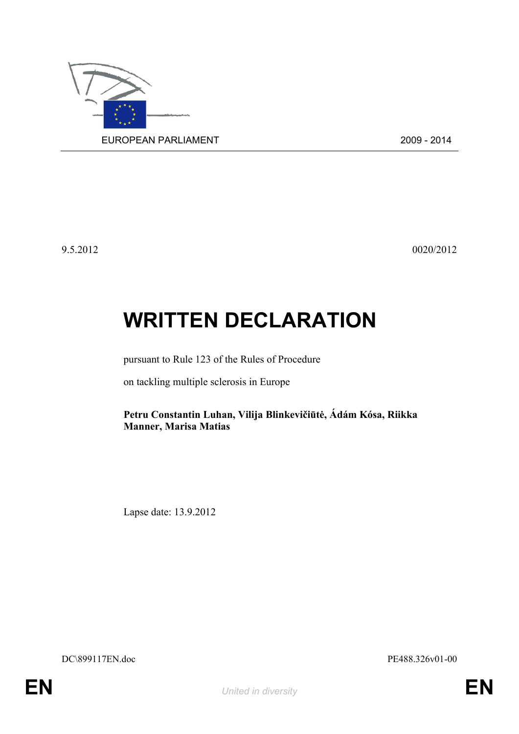

9.5.2012 0020/2012

## **WRITTEN DECLARATION**

pursuant to Rule 123 of the Rules of Procedure

on tackling multiple sclerosis in Europe

**Petru Constantin Luhan, Vilija Blinkevičiūtė, Ádám Kósa, Riikka Manner, Marisa Matias**

Lapse date: 13.9.2012

<span id="page-0-1"></span>DC\899117EN.doc PE488.326v01-00

<span id="page-0-0"></span>